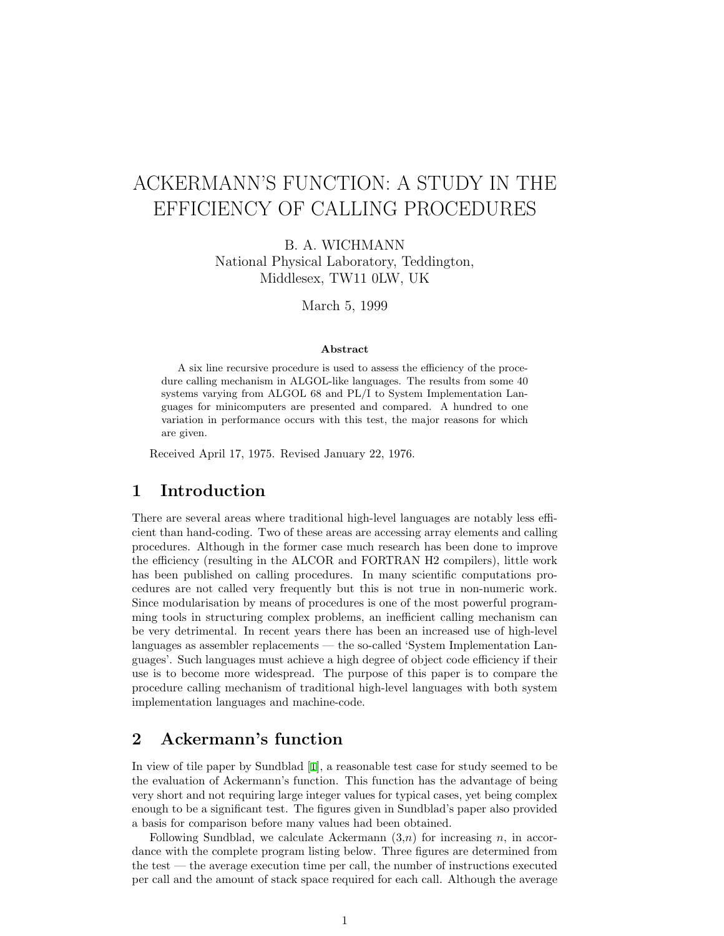# ACKERMANN'S FUNCTION: A STUDY IN THE EFFICIENCY OF CALLING PROCEDURES

B. A. WICHMANN National Physical Laboratory, Teddington, Middlesex, TW11 0LW, UK

March 5, 1999

#### Abstract

A six line recursive procedure is used to assess the efficiency of the procedure calling mechanism in ALGOL-like languages. The results from some 40 systems varying from ALGOL 68 and PL/I to System Implementation Languages for minicomputers are presented and compared. A hundred to one variation in performance occurs with this test, the major reasons for which are given.

Received April 17, 1975. Revised January 22, 1976.

#### 1 Introduction

There are several areas where traditional high-level languages are notably less efficient than hand-coding. Two of these areas are accessing array elements and calling procedures. Although in the former case much research has been done to improve the efficiency (resulting in the ALCOR and FORTRAN H2 compilers), little work has been published on calling procedures. In many scientific computations procedures are not called very frequently but this is not true in non-numeric work. Since modularisation by means of procedures is one of the most powerful programming tools in structuring complex problems, an inefficient calling mechanism can be very detrimental. In recent years there has been an increased use of high-level languages as assembler replacements — the so-called 'System Implementation Languages'. Such languages must achieve a high degree of object code efficiency if their use is to become more widespread. The purpose of this paper is to compare the procedure calling mechanism of traditional high-level languages with both system implementation languages and machine-code.

### 2 Ackermann's function

In view of tile paper by Sundblad [[1\]](#page-6-0), a reasonable test case for study seemed to be the evaluation of Ackermann's function. This function has the advantage of being very short and not requiring large integer values for typical cases, yet being complex enough to be a significant test. The figures given in Sundblad's paper also provided a basis for comparison before many values had been obtained.

Following Sundblad, we calculate Ackermann  $(3,n)$  for increasing n, in accordance with the complete program listing below. Three figures are determined from the test — the average execution time per call, the number of instructions executed per call and the amount of stack space required for each call. Although the average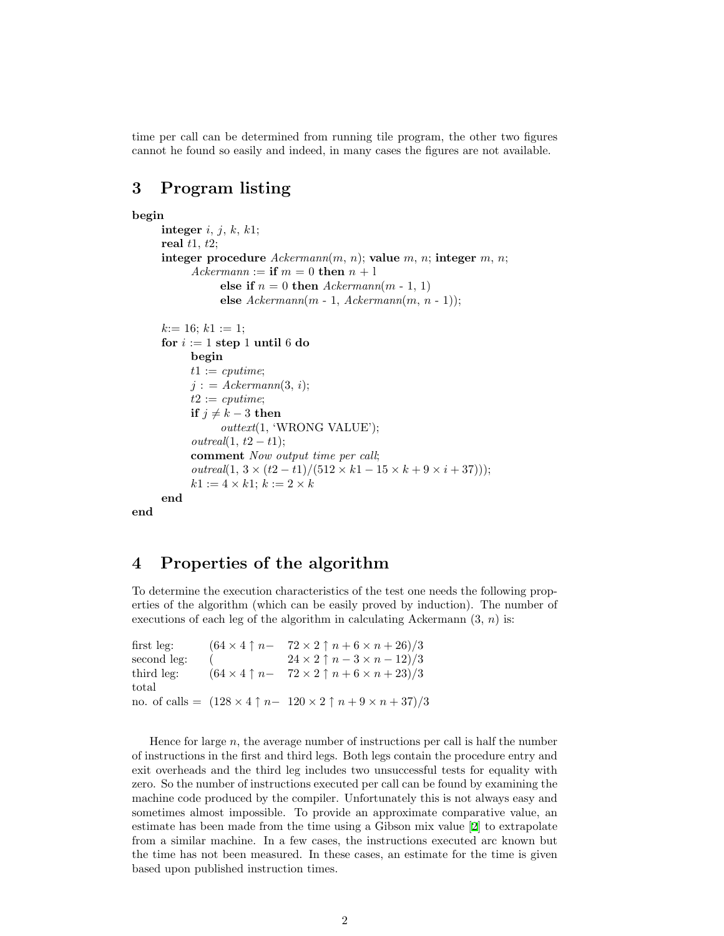time per call can be determined from running tile program, the other two figures cannot he found so easily and indeed, in many cases the figures are not available.

## 3 Program listing

```
begin
     integer i, j, k, k1;real t1, t2;
     integer procedure Ackermann(m, n); value m, n; integer m, n;
            Ackermann := if m = 0 then n + 1else if n = 0 then Acknowledton - 1, 1)
                 else Ackermann(m - 1, Ackermann(m, n - 1));k:= 16; k1 := 1;for i := 1 step 1 until 6 do
           begin
           t1 := \text{cputime};j : = Ackermann(3, i);
            t2 := \textit{cputime};
           if j \neq k-3 then
                  outtext(1, 'WRONG VALUE');
            outreal(1, t2 - t1);comment Now output time per call;
            outreal(1, 3 \times (t2 - t1)/(512 \times k1 - 15 \times k + 9 \times i + 37)));
            k1 := 4 \times k1; k := 2 \times kend
end
```
## 4 Properties of the algorithm

To determine the execution characteristics of the test one needs the following properties of the algorithm (which can be easily proved by induction). The number of executions of each leg of the algorithm in calculating Ackermann  $(3, n)$  is:

```
first leg: (64 \times 4 \uparrow n - 72 \times 2 \uparrow n + 6 \times n + 26)/3second leg: (24 \times 2 \uparrow n - 3 \times n - 12)/3third leg: (64 \times 4 \uparrow n - 72 \times 2 \uparrow n + 6 \times n + 23)/3total
no. of calls = (128 \times 4 \uparrow n - 120 \times 2 \uparrow n + 9 \times n + 37)/3
```
Hence for large  $n$ , the average number of instructions per call is half the number of instructions in the first and third legs. Both legs contain the procedure entry and exit overheads and the third leg includes two unsuccessful tests for equality with zero. So the number of instructions executed per call can be found by examining the machine code produced by the compiler. Unfortunately this is not always easy and sometimes almost impossible. To provide an approximate comparative value, an estimate has been made from the time using a Gibson mix value [\[2](#page-6-0)] to extrapolate from a similar machine. In a few cases, the instructions executed arc known but the time has not been measured. In these cases, an estimate for the time is given based upon published instruction times.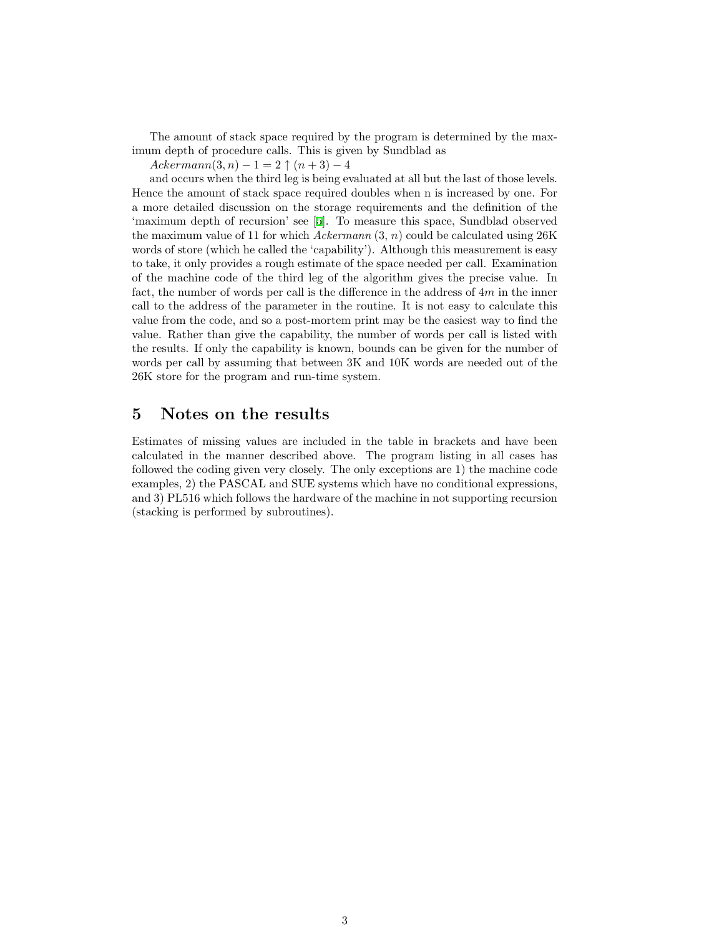The amount of stack space required by the program is determined by the maximum depth of procedure calls. This is given by Sundblad as

 $Acknowledಾ{Ackermann}(3, n) - 1 = 2 \uparrow (n + 3) - 4$ 

and occurs when the third leg is being evaluated at all but the last of those levels. Hence the amount of stack space required doubles when n is increased by one. For a more detailed discussion on the storage requirements and the definition of the 'maximum depth of recursion' see [[5\]](#page-6-0). To measure this space, Sundblad observed the maximum value of 11 for which Ackermann  $(3, n)$  could be calculated using  $26K$ words of store (which he called the 'capability'). Although this measurement is easy to take, it only provides a rough estimate of the space needed per call. Examination of the machine code of the third leg of the algorithm gives the precise value. In fact, the number of words per call is the difference in the address of  $4m$  in the inner call to the address of the parameter in the routine. It is not easy to calculate this value from the code, and so a post-mortem print may be the easiest way to find the value. Rather than give the capability, the number of words per call is listed with the results. If only the capability is known, bounds can be given for the number of words per call by assuming that between 3K and 10K words are needed out of the 26K store for the program and run-time system.

#### 5 Notes on the results

Estimates of missing values are included in the table in brackets and have been calculated in the manner described above. The program listing in all cases has followed the coding given very closely. The only exceptions are 1) the machine code examples, 2) the PASCAL and SUE systems which have no conditional expressions, and 3) PL516 which follows the hardware of the machine in not supporting recursion (stacking is performed by subroutines).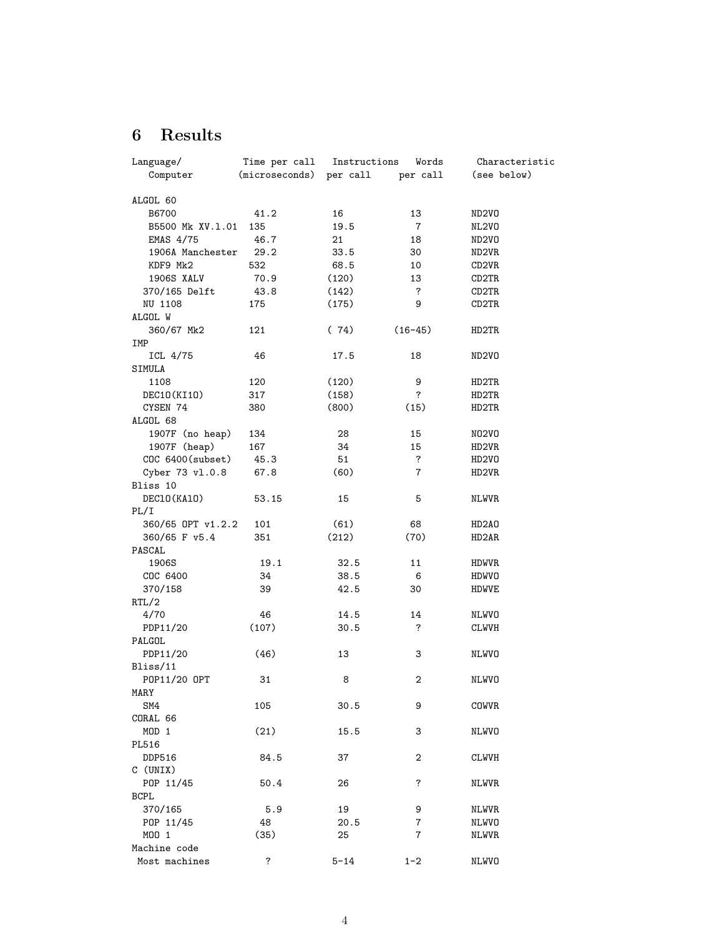## 6 Results

| Language/                    | Time per call  | Instructions   | Words          | Characteristic |
|------------------------------|----------------|----------------|----------------|----------------|
| Computer                     | (microseconds) | per call       | per call       | (see below)    |
|                              |                |                |                |                |
| ALGOL 60<br>B6700            | 41.2           | 16             | 13             | ND2VO          |
| B5500 Mk XV.1.01             | 135            | 19.5           | $\overline{7}$ | NL2VO          |
| EMAS 4/75                    | 46.7           | 21             | 18             | ND2VO          |
|                              | 29.2           | 33.5           |                |                |
| 1906A Manchester<br>KDF9 Mk2 | 532            | 68.5           | 30<br>10       | ND2VR          |
| 1906S XALV                   | 70.9           | (120)          | 13             | CD2VR<br>CD2TR |
|                              |                |                | ?              |                |
| 370/165 Delft                | 43.8           | (142)<br>(175) | 9              | CD2TR          |
| NU 1108                      | 175            |                |                | CD2TR          |
| ALGOL W                      |                |                | $(16-45)$      |                |
| 360/67 Mk2                   | 121            | (74)           |                | HD2TR          |
| IMP                          |                |                |                |                |
| ICL 4/75                     | 46             | 17.5           | 18             | ND2VO          |
| SIMULA                       |                |                |                |                |
| 1108                         | 120            | (120)          | 9              | HD2TR          |
| DEC10(KI10)                  | 317            | (158)          | ?              | HD2TR          |
| CYSEN 74                     | 380            | (800)          | (15)           | HD2TR          |
| ALGOL 68                     |                |                |                |                |
| 1907F (no heap)              | 134            | 28             | 15             | N02V0          |
| 1907F (heap)                 | 167            | 34             | 15             | HD2VR          |
| COC 6400(subset)             | 45.3           | 51             | ?              | HD2VO          |
| Cyber 73 v1.0.8              | 67.8           | (60)           | 7              | HD2VR          |
| Bliss 10                     |                |                |                |                |
| DEC10(KA10)                  | 53.15          | 15             | 5              | <b>NLWVR</b>   |
| PL/I                         |                |                |                |                |
| 360/65 OPT v1.2.2            | 101            | (61)           | 68             | HD2A0          |
| 360/65 F v5.4                | 351            | (212)          | (70)           | HD2AR          |
| PASCAL                       |                |                |                |                |
| 1906S                        | 19.1           | 32.5           | 11             | <b>HDWVR</b>   |
| COC 6400                     | 34             | 38.5           | 6              | HDWVO          |
| 370/158                      | 39             | 42.5           | 30             | <b>HDWVE</b>   |
| RTL/2                        |                |                |                |                |
| 4/70                         | 46             | 14.5           | 14             | NLWVO          |
| PDP11/20                     | (107)          | 30.5           | ?              | <b>CLWVH</b>   |
| PALGOL                       |                |                |                |                |
| PDP11/20                     | (46)           | 13             | 3              | NLWVO          |
| Bliss/11                     |                |                |                |                |
| P0P11/20 OPT                 | 31             | 8              | 2              | NLWVO          |
| MARY                         |                |                |                |                |
| SM4                          | 105            | 30.5           | 9              | <b>COWVR</b>   |
| CORAL 66                     |                |                |                |                |
| MOD 1                        | (21)           | 15.5           | 3              | NLWVO          |
| PL516                        |                |                |                |                |
| DDP516                       | 84.5           | 37             | 2              | <b>CLWVH</b>   |
| C (UNIX)                     |                |                |                |                |
| POP 11/45                    | 50.4           | 26             | ?              | <b>NLWVR</b>   |
| BCPL                         |                |                |                |                |
| 370/165                      | 5.9            | 19             | 9              | <b>NLWVR</b>   |
| POP 11/45                    | 48             | 20.5           | 7              | <b>NLWVO</b>   |
| MOO 1                        | (35)           | 25             | 7              | <b>NLWVR</b>   |
| Machine code                 |                |                |                |                |
| Most machines                | ?              | $5 - 14$       | $1 - 2$        | <b>NLWVO</b>   |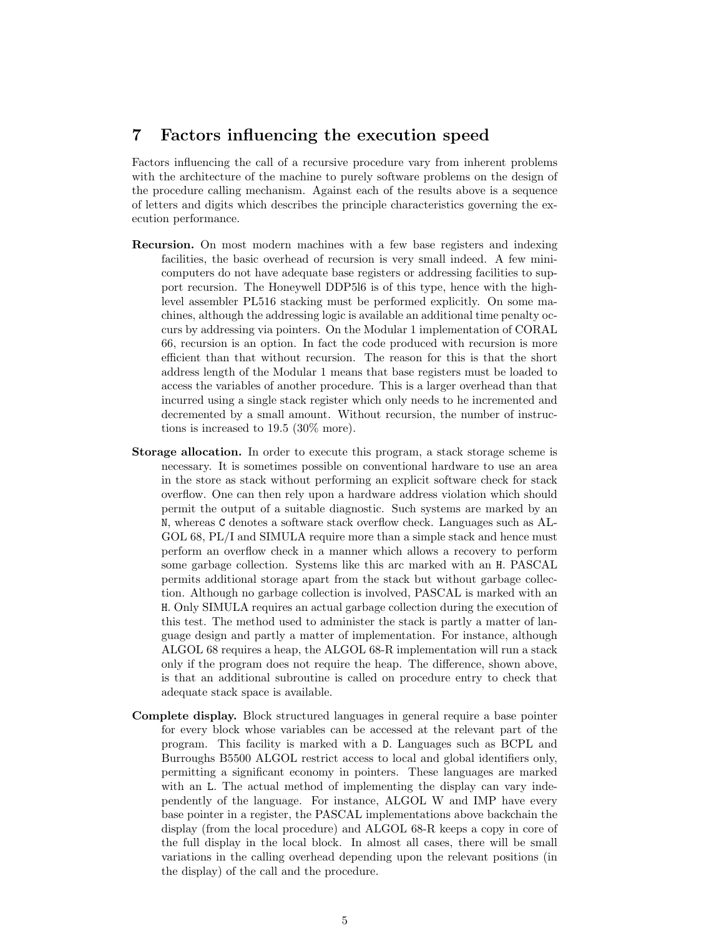#### 7 Factors influencing the execution speed

Factors influencing the call of a recursive procedure vary from inherent problems with the architecture of the machine to purely software problems on the design of the procedure calling mechanism. Against each of the results above is a sequence of letters and digits which describes the principle characteristics governing the execution performance.

- Recursion. On most modern machines with a few base registers and indexing facilities, the basic overhead of recursion is very small indeed. A few minicomputers do not have adequate base registers or addressing facilities to support recursion. The Honeywell DDP5l6 is of this type, hence with the highlevel assembler PL516 stacking must be performed explicitly. On some machines, although the addressing logic is available an additional time penalty occurs by addressing via pointers. On the Modular 1 implementation of CORAL 66, recursion is an option. In fact the code produced with recursion is more efficient than that without recursion. The reason for this is that the short address length of the Modular 1 means that base registers must be loaded to access the variables of another procedure. This is a larger overhead than that incurred using a single stack register which only needs to he incremented and decremented by a small amount. Without recursion, the number of instructions is increased to 19.5 (30% more).
- Storage allocation. In order to execute this program, a stack storage scheme is necessary. It is sometimes possible on conventional hardware to use an area in the store as stack without performing an explicit software check for stack overflow. One can then rely upon a hardware address violation which should permit the output of a suitable diagnostic. Such systems are marked by an N, whereas C denotes a software stack overflow check. Languages such as AL-GOL 68, PL/I and SIMULA require more than a simple stack and hence must perform an overflow check in a manner which allows a recovery to perform some garbage collection. Systems like this arc marked with an H. PASCAL permits additional storage apart from the stack but without garbage collection. Although no garbage collection is involved, PASCAL is marked with an H. Only SIMULA requires an actual garbage collection during the execution of this test. The method used to administer the stack is partly a matter of language design and partly a matter of implementation. For instance, although ALGOL 68 requires a heap, the ALGOL 68-R implementation will run a stack only if the program does not require the heap. The difference, shown above, is that an additional subroutine is called on procedure entry to check that adequate stack space is available.
- Complete display. Block structured languages in general require a base pointer for every block whose variables can be accessed at the relevant part of the program. This facility is marked with a D. Languages such as BCPL and Burroughs B5500 ALGOL restrict access to local and global identifiers only, permitting a significant economy in pointers. These languages are marked with an L. The actual method of implementing the display can vary independently of the language. For instance, ALGOL W and IMP have every base pointer in a register, the PASCAL implementations above backchain the display (from the local procedure) and ALGOL 68-R keeps a copy in core of the full display in the local block. In almost all cases, there will be small variations in the calling overhead depending upon the relevant positions (in the display) of the call and the procedure.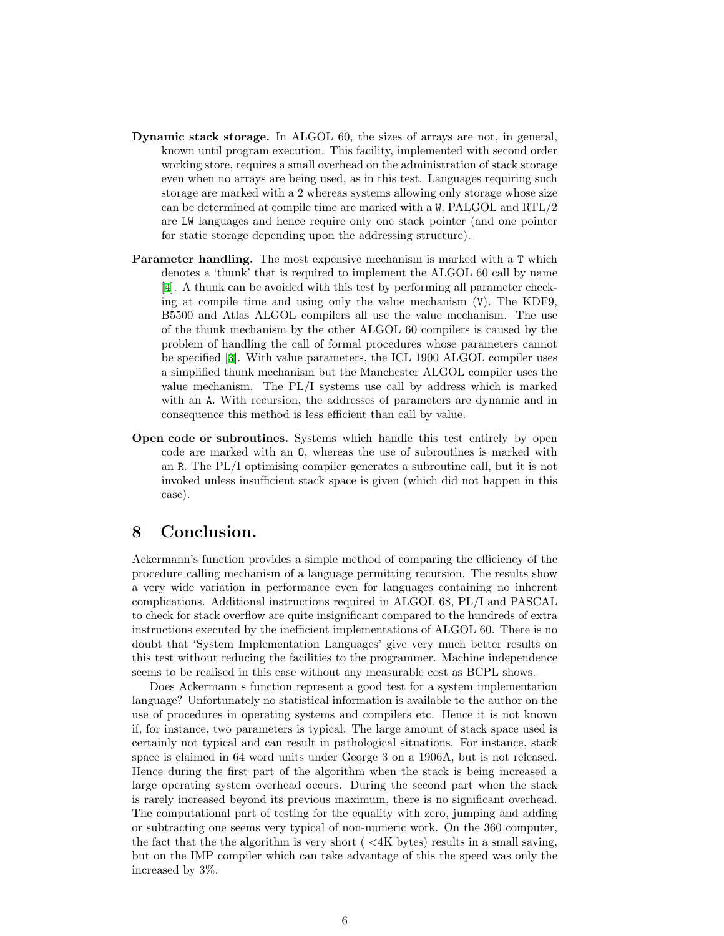- Dynamic stack storage. In ALGOL 60, the sizes of arrays are not, in general, known until program execution. This facility, implemented with second order working store, requires a small overhead on the administration of stack storage even when no arrays are being used, as in this test. Languages requiring such storage are marked with a 2 whereas systems allowing only storage whose size can be determined at compile time are marked with a W. PALGOL and RTL/2 are LW languages and hence require only one stack pointer (and one pointer for static storage depending upon the addressing structure).
- Parameter handling. The most expensive mechanism is marked with a T which denotes a 'thunk' that is required to implement the ALGOL 60 call by name [\[4](#page-6-0)]. A thunk can be avoided with this test by performing all parameter checking at compile time and using only the value mechanism (V). The KDF9, B5500 and Atlas ALGOL compilers all use the value mechanism. The use of the thunk mechanism by the other ALGOL 60 compilers is caused by the problem of handling the call of formal procedures whose parameters cannot be specified [\[3](#page-6-0)]. With value parameters, the ICL 1900 ALGOL compiler uses a simplified thunk mechanism but the Manchester ALGOL compiler uses the value mechanism. The PL/I systems use call by address which is marked with an A. With recursion, the addresses of parameters are dynamic and in consequence this method is less efficient than call by value.
- Open code or subroutines. Systems which handle this test entirely by open code are marked with an O, whereas the use of subroutines is marked with an R. The PL/I optimising compiler generates a subroutine call, but it is not invoked unless insufficient stack space is given (which did not happen in this case).

### 8 Conclusion.

Ackermann's function provides a simple method of comparing the efficiency of the procedure calling mechanism of a language permitting recursion. The results show a very wide variation in performance even for languages containing no inherent complications. Additional instructions required in ALGOL 68, PL/I and PASCAL to check for stack overflow are quite insignificant compared to the hundreds of extra instructions executed by the inefficient implementations of ALGOL 60. There is no doubt that 'System Implementation Languages' give very much better results on this test without reducing the facilities to the programmer. Machine independence seems to be realised in this case without any measurable cost as BCPL shows.

Does Ackermann s function represent a good test for a system implementation language? Unfortunately no statistical information is available to the author on the use of procedures in operating systems and compilers etc. Hence it is not known if, for instance, two parameters is typical. The large amount of stack space used is certainly not typical and can result in pathological situations. For instance, stack space is claimed in 64 word units under George 3 on a 1906A, but is not released. Hence during the first part of the algorithm when the stack is being increased a large operating system overhead occurs. During the second part when the stack is rarely increased beyond its previous maximum, there is no significant overhead. The computational part of testing for the equality with zero, jumping and adding or subtracting one seems very typical of non-numeric work. On the 360 computer, the fact that the the algorithm is very short  $\sim$  4K bytes) results in a small saving, but on the IMP compiler which can take advantage of this the speed was only the increased by 3%.